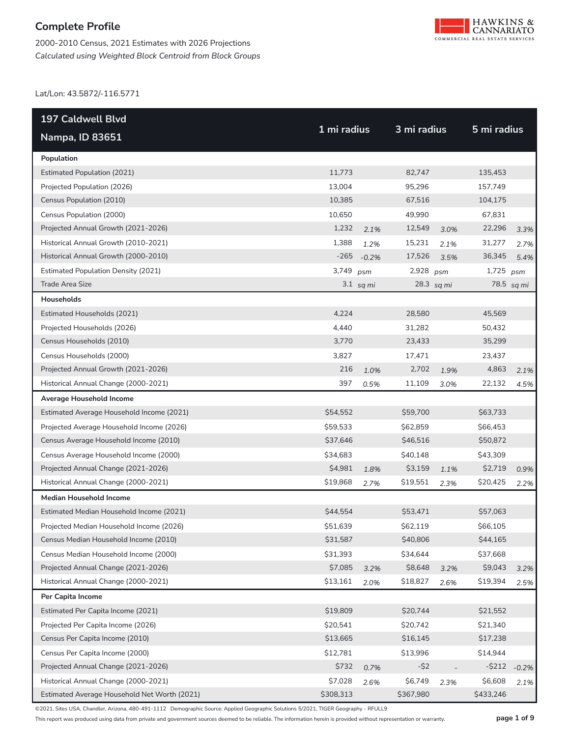2000-2010 Census, 2021 Estimates with 2026 Projections *Calculated using Weighted Block Centroid from Block Groups*



Lat/Lon: 43.5872/-116.5771

| 197 Caldwell Blvd                            |             |             | 3 mi radius |            |             |            |
|----------------------------------------------|-------------|-------------|-------------|------------|-------------|------------|
| <b>Nampa, ID 83651</b>                       | 1 mi radius |             |             |            | 5 mi radius |            |
| Population                                   |             |             |             |            |             |            |
| <b>Estimated Population (2021)</b>           | 11,773      |             | 82,747      |            | 135,453     |            |
| Projected Population (2026)                  | 13,004      |             | 95,296      |            | 157,749     |            |
| Census Population (2010)                     | 10,385      |             | 67,516      |            | 104,175     |            |
| Census Population (2000)                     | 10,650      |             | 49.990      |            | 67,831      |            |
| Projected Annual Growth (2021-2026)          | 1,232       | 2.1%        | 12,549      | 3.0%       | 22,296      | 3.3%       |
| Historical Annual Growth (2010-2021)         | 1,388       | 1.2%        | 15,231      | 2.1%       | 31,277      | 2.7%       |
| Historical Annual Growth (2000-2010)         | $-265$      | $-0.2%$     | 17,526      | 3.5%       | 36,345      | 5.4%       |
| <b>Estimated Population Density (2021)</b>   | 3,749       | psm         | 2,928 psm   |            | 1,725       | psm        |
| <b>Trade Area Size</b>                       |             | $3.1$ sq mi |             | 28.3 sq mi |             | 78.5 sq mi |
| Households                                   |             |             |             |            |             |            |
| Estimated Households (2021)                  | 4,224       |             | 28,580      |            | 45,569      |            |
| Projected Households (2026)                  | 4.440       |             | 31,282      |            | 50,432      |            |
| Census Households (2010)                     | 3,770       |             | 23,433      |            | 35,299      |            |
| Census Households (2000)                     | 3,827       |             | 17,471      |            | 23,437      |            |
| Projected Annual Growth (2021-2026)          | 216         | 1.0%        | 2,702       | 1.9%       | 4,863       | 2.1%       |
| Historical Annual Change (2000-2021)         | 397         | 0.5%        | 11,109      | 3.0%       | 22,132      | 4.5%       |
| Average Household Income                     |             |             |             |            |             |            |
| Estimated Average Household Income (2021)    | \$54,552    |             | \$59,700    |            | \$63,733    |            |
| Projected Average Household Income (2026)    | \$59,533    |             | \$62,859    |            | \$66,453    |            |
| Census Average Household Income (2010)       | \$37,646    |             | \$46,516    |            | \$50,872    |            |
| Census Average Household Income (2000)       | \$34,683    |             | \$40,148    |            | \$43,309    |            |
| Projected Annual Change (2021-2026)          | \$4,981     | 1.8%        | \$3,159     | 1.1%       | \$2,719     | 0.9%       |
| Historical Annual Change (2000-2021)         | \$19,868    | 2.7%        | \$19,551    | 2.3%       | \$20,425    | 2.2%       |
| <b>Median Household Income</b>               |             |             |             |            |             |            |
| Estimated Median Household Income (2021)     | \$44,554    |             | \$53,471    |            | \$57,063    |            |
| Projected Median Household Income (2026)     | \$51,639    |             | \$62,119    |            | \$66,105    |            |
| Census Median Household Income (2010)        | \$31,587    |             | \$40,806    |            | \$44,165    |            |
| Census Median Household Income (2000)        | \$31,393    |             | \$34,644    |            | \$37,668    |            |
| Projected Annual Change (2021-2026)          | \$7,085     | 3.2%        | \$8,648     | 3.2%       | \$9,043     | 3.2%       |
| Historical Annual Change (2000-2021)         | \$13,161    | 2.0%        | \$18,827    | 2.6%       | \$19,394    | 2.5%       |
| Per Capita Income                            |             |             |             |            |             |            |
| Estimated Per Capita Income (2021)           | \$19,809    |             | \$20,744    |            | \$21,552    |            |
| Projected Per Capita Income (2026)           | \$20,541    |             | \$20,742    |            | \$21,340    |            |
| Census Per Capita Income (2010)              | \$13,665    |             | \$16,145    |            | \$17,238    |            |
| Census Per Capita Income (2000)              | \$12,781    |             | \$13,996    |            | \$14,944    |            |
| Projected Annual Change (2021-2026)          | \$732       | 0.7%        | $-52$       |            | $-$ \$212   | $-0.2%$    |
| Historical Annual Change (2000-2021)         | \$7,028     | 2.6%        | \$6,749     | 2.3%       | \$6,608     | 2.1%       |
| Estimated Average Household Net Worth (2021) | \$308,313   |             | \$367,980   |            | \$433,246   |            |

©2021, Sites USA, Chandler, Arizona, 480-491-1112 Demographic Source: Applied Geographic Solutions 5/2021, TIGER Geography - RFULL9

This report was produced using data from private and government sources deemed to be reliable. The information herein is provided without representation or warranty. **page 1 of 9**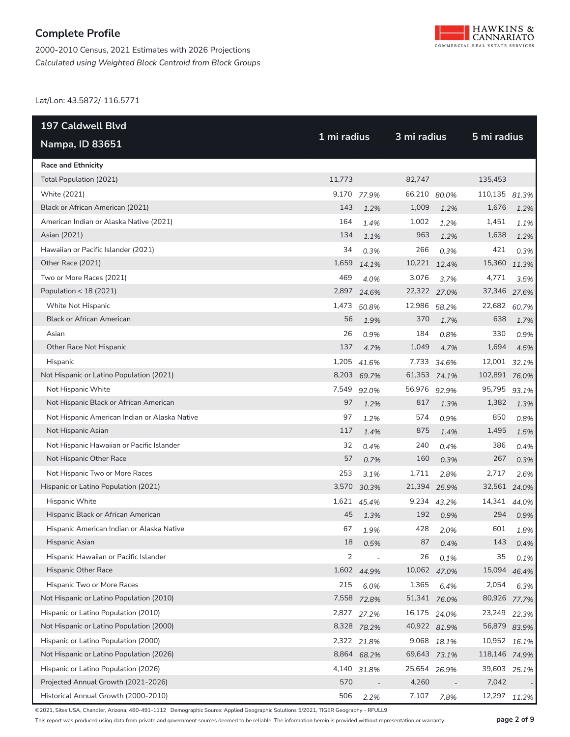



Lat/Lon: 43.5872/-116.5771

| <b>197 Caldwell Blvd</b>                      | 1 mi radius    |                          |              | 3 mi radius  |               |       |
|-----------------------------------------------|----------------|--------------------------|--------------|--------------|---------------|-------|
| <b>Nampa, ID 83651</b>                        |                |                          |              |              | 5 mi radius   |       |
| <b>Race and Ethnicity</b>                     |                |                          |              |              |               |       |
| Total Population (2021)                       | 11,773         |                          | 82,747       |              | 135,453       |       |
| White (2021)                                  | 9,170          | 77.9%                    | 66,210 80.0% |              | 110,135 81.3% |       |
| Black or African American (2021)              | 143            | 1.2%                     | 1,009        | 1.2%         | 1,676         | 1.2%  |
| American Indian or Alaska Native (2021)       | 164            | 1.4%                     | 1,002        | 1.2%         | 1,451         | 1.1%  |
| Asian (2021)                                  | 134            | 1.1%                     | 963          | 1.2%         | 1,638         | 1.2%  |
| Hawaiian or Pacific Islander (2021)           | 34             | 0.3%                     | 266          | 0.3%         | 421           | 0.3%  |
| Other Race (2021)                             | 1,659          | 14.1%                    | 10,221 12.4% |              | 15,360        | 11.3% |
| Two or More Races (2021)                      | 469            | 4.0%                     | 3,076        | 3.7%         | 4,771         | 3.5%  |
| Population < 18 (2021)                        | 2,897          | 24.6%                    | 22,322 27.0% |              | 37,346 27.6%  |       |
| White Not Hispanic                            | 1,473          | 50.8%                    | 12,986 58.2% |              | 22,682 60.7%  |       |
| <b>Black or African American</b>              | 56             | 1.9%                     | 370          | 1.7%         | 638           | 1.7%  |
| Asian                                         | 26             | 0.9%                     | 184          | 0.8%         | 330           | 0.9%  |
| Other Race Not Hispanic                       | 137            | 4.7%                     | 1,049        | 4.7%         | 1,694         | 4.5%  |
| Hispanic                                      | 1,205          | 41.6%                    |              | 7,733 34.6%  | 12,001 32.1%  |       |
| Not Hispanic or Latino Population (2021)      |                | 8,203 69.7%              | 61,353 74.1% |              | 102,891 76.0% |       |
| Not Hispanic White                            | 7,549          | 92.0%                    | 56,976 92.9% |              | 95,795        | 93.1% |
| Not Hispanic Black or African American        | 97             | 1.2%                     | 817          | 1.3%         | 1,382         | 1.3%  |
| Not Hispanic American Indian or Alaska Native | 97             | 1.2%                     | 574          | 0.9%         | 850           | 0.8%  |
| Not Hispanic Asian                            | 117            | 1.4%                     | 875          | 1.4%         | 1,495         | 1.5%  |
| Not Hispanic Hawaiian or Pacific Islander     | 32             | 0.4%                     | 240          | 0.4%         | 386           | 0.4%  |
| Not Hispanic Other Race                       | 57             | 0.7%                     | 160          | 0.3%         | 267           | 0.3%  |
| Not Hispanic Two or More Races                | 253            | 3.1%                     | 1,711        | 2.8%         | 2,717         | 2.6%  |
| Hispanic or Latino Population (2021)          | 3,570          | 30.3%                    | 21,394 25.9% |              | 32,561 24.0%  |       |
| Hispanic White                                |                | 1,621 45.4%              |              | 9,234 43.2%  | 14,341 44.0%  |       |
| Hispanic Black or African American            | 45             | 1.3%                     | 192          | 0.9%         | 294           | 0.9%  |
| Hispanic American Indian or Alaska Native     | 67             | 1.9%                     | 428          | 2.0%         | 601           | 1.8%  |
| Hispanic Asian                                | 18             | 0.5%                     | 87           | 0.4%         | 143           | 0.4%  |
| Hispanic Hawaiian or Pacific Islander         | $\overline{2}$ | $\overline{\phantom{a}}$ | 26           | 0.1%         | 35            | 0.1%  |
| Hispanic Other Race                           |                | 1,602 44.9%              |              | 10,062 47.0% | 15,094 46.4%  |       |
| Hispanic Two or More Races                    | 215            | 6.0%                     | 1,365        | 6.4%         | 2,054         | 6.3%  |
| Not Hispanic or Latino Population (2010)      |                | 7,558 72.8%              |              | 51,341 76.0% | 80,926 77.7%  |       |
| Hispanic or Latino Population (2010)          |                | 2,827 27.2%              | 16,175 24.0% |              | 23,249        | 22.3% |
| Not Hispanic or Latino Population (2000)      |                | 8,328 78.2%              | 40,922 81.9% |              | 56,879 83.9%  |       |
| Hispanic or Latino Population (2000)          |                | 2,322 21.8%              |              | 9,068 18.1%  | 10,952 16.1%  |       |
| Not Hispanic or Latino Population (2026)      |                | 8,864 68.2%              |              | 69,643 73.1% | 118,146 74.9% |       |
| Hispanic or Latino Population (2026)          |                | 4,140 31.8%              | 25,654 26.9% |              | 39,603 25.1%  |       |
| Projected Annual Growth (2021-2026)           | 570            |                          | 4,260        |              | 7,042         |       |
| Historical Annual Growth (2000-2010)          | 506            | 2.2%                     | 7,107        | 7.8%         | 12,297 11.2%  |       |

©2021, Sites USA, Chandler, Arizona, 480-491-1112 Demographic Source: Applied Geographic Solutions 5/2021, TIGER Geography - RFULL9

This report was produced using data from private and government sources deemed to be reliable. The information herein is provided without representation or warranty. **page 2 of 9**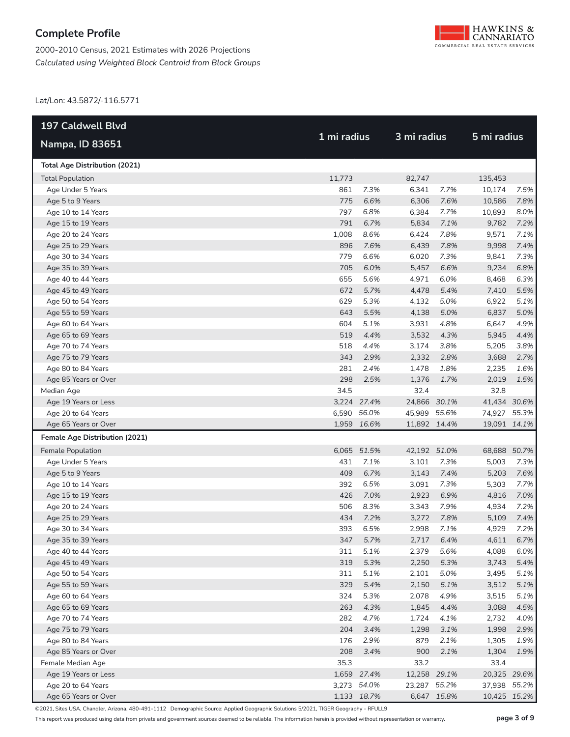



Lat/Lon: 43.5872/-116.5771

| <b>197 Caldwell Blvd</b>             |             |             | 3 mi radius  |             | 5 mi radius  |      |  |
|--------------------------------------|-------------|-------------|--------------|-------------|--------------|------|--|
| Nampa, ID 83651                      | 1 mi radius |             |              |             |              |      |  |
| <b>Total Age Distribution (2021)</b> |             |             |              |             |              |      |  |
| <b>Total Population</b>              | 11,773      |             | 82,747       |             | 135,453      |      |  |
| Age Under 5 Years                    | 861         | 7.3%        | 6,341        | 7.7%        | 10,174       | 7.5% |  |
| Age 5 to 9 Years                     | 775         | 6.6%        | 6,306        | 7.6%        | 10,586       | 7.8% |  |
| Age 10 to 14 Years                   | 797         | 6.8%        | 6,384        | 7.7%        | 10,893       | 8.0% |  |
| Age 15 to 19 Years                   | 791         | 6.7%        | 5,834        | 7.1%        | 9,782        | 7.2% |  |
| Age 20 to 24 Years                   | 1,008       | 8.6%        | 6,424        | 7.8%        | 9,571        | 7.1% |  |
| Age 25 to 29 Years                   | 896         | 7.6%        | 6,439        | 7.8%        | 9,998        | 7.4% |  |
| Age 30 to 34 Years                   | 779         | 6.6%        | 6,020        | 7.3%        | 9,841        | 7.3% |  |
| Age 35 to 39 Years                   | 705         | 6.0%        | 5,457        | 6.6%        | 9,234        | 6.8% |  |
| Age 40 to 44 Years                   | 655         | 5.6%        | 4,971        | 6.0%        | 8,468        | 6.3% |  |
| Age 45 to 49 Years                   | 672         | 5.7%        | 4,478        | 5.4%        | 7,410        | 5.5% |  |
| Age 50 to 54 Years                   | 629         | 5.3%        | 4,132        | 5.0%        | 6,922        | 5.1% |  |
| Age 55 to 59 Years                   | 643         | 5.5%        | 4,138        | 5.0%        | 6,837        | 5.0% |  |
| Age 60 to 64 Years                   | 604         | 5.1%        | 3,931        | 4.8%        | 6,647        | 4.9% |  |
| Age 65 to 69 Years                   | 519         | 4.4%        | 3,532        | 4.3%        | 5,945        | 4.4% |  |
| Age 70 to 74 Years                   | 518         | 4.4%        | 3,174        | 3.8%        | 5,205        | 3.8% |  |
| Age 75 to 79 Years                   | 343         | 2.9%        | 2,332        | 2.8%        | 3,688        | 2.7% |  |
| Age 80 to 84 Years                   | 281         | 2.4%        | 1,478        | 1.8%        | 2,235        | 1.6% |  |
| Age 85 Years or Over                 | 298         | 2.5%        | 1,376        | 1.7%        | 2,019        | 1.5% |  |
| Median Age                           | 34.5        |             | 32.4         |             | 32.8         |      |  |
| Age 19 Years or Less                 |             | 3,224 27.4% | 24,866 30.1% |             | 41,434 30.6% |      |  |
| Age 20 to 64 Years                   |             | 6,590 56.0% | 45,989 55.6% |             | 74,927 55.3% |      |  |
| Age 65 Years or Over                 |             | 1,959 16.6% | 11,892 14.4% |             | 19,091 14.1% |      |  |
| Female Age Distribution (2021)       |             |             |              |             |              |      |  |
| Female Population                    |             | 6,065 51.5% | 42,192 51.0% |             | 68,688 50.7% |      |  |
| Age Under 5 Years                    | 431         | 7.1%        | 3,101        | 7.3%        | 5,003        | 7.3% |  |
| Age 5 to 9 Years                     | 409         | 6.7%        | 3,143        | 7.4%        | 5,203        | 7.6% |  |
| Age 10 to 14 Years                   | 392         | 6.5%        | 3,091        | 7.3%        | 5,303        | 7.7% |  |
| Age 15 to 19 Years                   | 426         | 7.0%        | 2,923        | 6.9%        | 4,816        | 7.0% |  |
| Age 20 to 24 Years                   | 506         | 8.3%        | 3,343        | 7.9%        | 4,934        | 7.2% |  |
| Age 25 to 29 Years                   | 434         | 7.2%        | 3,272        | 7.8%        | 5,109        | 7.4% |  |
| Age 30 to 34 Years                   | 393         | 6.5%        | 2,998        | 7.1%        | 4,929        | 7.2% |  |
| Age 35 to 39 Years                   |             | 347 5.7%    |              | 2,717 6.4%  | 4,611        | 6.7% |  |
| Age 40 to 44 Years                   | 311         | 5.1%        | 2,379        | 5.6%        | 4,088        | 6.0% |  |
| Age 45 to 49 Years                   | 319         | 5.3%        | 2,250        | 5.3%        | 3,743        | 5.4% |  |
| Age 50 to 54 Years                   | 311         | 5.1%        | 2,101        | 5.0%        | 3,495        | 5.1% |  |
| Age 55 to 59 Years                   | 329         | 5.4%        | 2,150        | 5.1%        | 3,512        | 5.1% |  |
| Age 60 to 64 Years                   | 324         | 5.3%        | 2,078        | 4.9%        | 3,515        | 5.1% |  |
| Age 65 to 69 Years                   | 263         | 4.3%        | 1,845        | 4.4%        | 3,088        | 4.5% |  |
| Age 70 to 74 Years                   | 282         | 4.7%        | 1,724        | 4.1%        | 2,732        | 4.0% |  |
| Age 75 to 79 Years                   | 204         | 3.4%        | 1,298        | 3.1%        | 1,998        | 2.9% |  |
| Age 80 to 84 Years                   | 176         | 2.9%        | 879          | 2.1%        | 1,305        | 1.9% |  |
| Age 85 Years or Over                 | 208         | 3.4%        | 900          | 2.1%        | 1,304        | 1.9% |  |
| Female Median Age                    | 35.3        |             | 33.2         |             | 33.4         |      |  |
| Age 19 Years or Less                 |             | 1,659 27.4% | 12,258 29.1% |             | 20,325 29.6% |      |  |
| Age 20 to 64 Years                   |             | 3,273 54.0% | 23,287 55.2% |             | 37,938 55.2% |      |  |
| Age 65 Years or Over                 |             | 1,133 18.7% |              | 6,647 15.8% | 10,425 15.2% |      |  |

©2021, Sites USA, Chandler, Arizona, 480-491-1112 Demographic Source: Applied Geographic Solutions 5/2021, TIGER Geography - RFULL9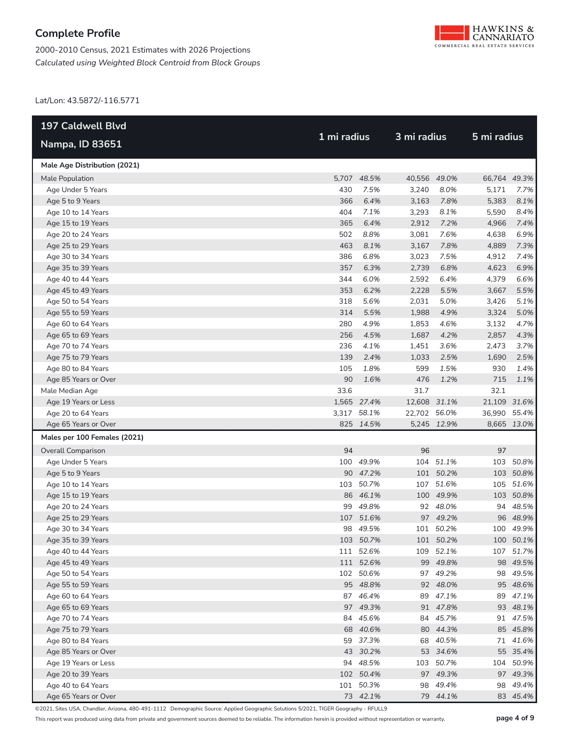



Lat/Lon: 43.5872/-116.5771

| <b>197 Caldwell Blvd</b>     |             |             | 3 mi radius  |             | 5 mi radius  |             |
|------------------------------|-------------|-------------|--------------|-------------|--------------|-------------|
| <b>Nampa, ID 83651</b>       | 1 mi radius |             |              |             |              |             |
| Male Age Distribution (2021) |             |             |              |             |              |             |
| Male Population              |             | 5,707 48.5% | 40,556 49.0% |             | 66,764 49.3% |             |
| Age Under 5 Years            | 430         | 7.5%        | 3,240        | 8.0%        | 5,171        | 7.7%        |
| Age 5 to 9 Years             | 366         | 6.4%        | 3,163        | 7.8%        | 5,383        | 8.1%        |
| Age 10 to 14 Years           | 404         | 7.1%        | 3,293        | 8.1%        | 5,590        | 8.4%        |
| Age 15 to 19 Years           | 365         | 6.4%        | 2,912        | 7.2%        | 4,966        | 7.4%        |
| Age 20 to 24 Years           | 502         | 8.8%        | 3,081        | 7.6%        | 4,638        | 6.9%        |
| Age 25 to 29 Years           | 463         | 8.1%        | 3,167        | 7.8%        | 4,889        | 7.3%        |
| Age 30 to 34 Years           | 386         | 6.8%        | 3,023        | 7.5%        | 4,912        | 7.4%        |
| Age 35 to 39 Years           | 357         | 6.3%        | 2,739        | 6.8%        | 4,623        | 6.9%        |
| Age 40 to 44 Years           | 344         | 6.0%        | 2,592        | 6.4%        | 4,379        | 6.6%        |
| Age 45 to 49 Years           | 353         | 6.2%        | 2,228        | 5.5%        | 3,667        | 5.5%        |
| Age 50 to 54 Years           | 318         | 5.6%        | 2,031        | 5.0%        | 3,426        | 5.1%        |
| Age 55 to 59 Years           | 314         | 5.5%        | 1,988        | 4.9%        | 3,324        | 5.0%        |
| Age 60 to 64 Years           | 280         | 4.9%        | 1,853        | 4.6%        | 3,132        | 4.7%        |
| Age 65 to 69 Years           | 256         | 4.5%        | 1,687        | 4.2%        | 2,857        | 4.3%        |
| Age 70 to 74 Years           | 236         | 4.1%        | 1,451        | 3.6%        | 2,473        | 3.7%        |
| Age 75 to 79 Years           | 139         | 2.4%        | 1,033        | 2.5%        | 1,690        | 2.5%        |
| Age 80 to 84 Years           | 105         | 1.8%        | 599          | 1.5%        | 930          | 1.4%        |
| Age 85 Years or Over         | 90          | 1.6%        | 476          | 1.2%        | 715          | 1.1%        |
| Male Median Age              | 33.6        |             | 31.7         |             | 32.1         |             |
| Age 19 Years or Less         |             | 1,565 27.4% | 12,608 31.1% |             | 21,109 31.6% |             |
| Age 20 to 64 Years           |             | 3,317 58.1% | 22,702 56.0% |             | 36,990 55.4% |             |
| Age 65 Years or Over         |             | 825 14.5%   |              | 5,245 12.9% |              | 8,665 13.0% |
| Males per 100 Females (2021) |             |             |              |             |              |             |
| <b>Overall Comparison</b>    | 94          |             | 96           |             | 97           |             |
| Age Under 5 Years            |             | 100 49.9%   | 104          | 51.1%       |              | 103 50.8%   |
| Age 5 to 9 Years             |             | 90 47.2%    |              | 101 50.2%   |              | 103 50.8%   |
| Age 10 to 14 Years           |             | 103 50.7%   |              | 107 51.6%   |              | 105 51.6%   |
| Age 15 to 19 Years           |             | 86 46.1%    |              | 100 49.9%   |              | 103 50.8%   |
| Age 20 to 24 Years           |             | 99 49.8%    |              | 92 48.0%    |              | 94 48.5%    |
| Age 25 to 29 Years           |             | 107 51.6%   |              | 97 49.2%    |              | 96 48.9%    |
| Age 30 to 34 Years           |             | 98 49.5%    |              | 101 50.2%   |              | 100 49.9%   |
| Age 35 to 39 Years           |             | 103 50.7%   |              | 101 50.2%   |              | 100 50.1%   |
| Age 40 to 44 Years           |             | 111 52.6%   |              | 109 52.1%   |              | 107 51.7%   |
| Age 45 to 49 Years           |             | 111 52.6%   |              | 99 49.8%    |              | 98 49.5%    |
| Age 50 to 54 Years           |             | 102 50.6%   |              | 97 49.2%    |              | 98 49.5%    |
| Age 55 to 59 Years           |             | 95 48.8%    |              | 92 48.0%    |              | 95 48.6%    |
| Age 60 to 64 Years           |             | 87 46.4%    |              | 89 47.1%    |              | 89 47.1%    |
| Age 65 to 69 Years           |             | 97 49.3%    |              | 91 47.8%    |              | 93 48.1%    |
| Age 70 to 74 Years           |             | 84 45.6%    |              | 84 45.7%    |              | 91 47.5%    |
| Age 75 to 79 Years           |             | 68 40.6%    |              | 80 44.3%    |              | 85 45.8%    |
| Age 80 to 84 Years           |             | 59 37.3%    |              | 68 40.5%    |              | 71 41.6%    |
| Age 85 Years or Over         |             | 43 30.2%    |              | 53 34.6%    |              | 55 35.4%    |
| Age 19 Years or Less         |             | 94 48.5%    |              | 103 50.7%   |              | 104 50.9%   |
| Age 20 to 39 Years           |             | 102 50.4%   |              | 97 49.3%    |              | 97 49.3%    |
| Age 40 to 64 Years           |             | 101 50.3%   |              | 98 49.4%    |              | 98 49.4%    |
| Age 65 Years or Over         |             | 73 42.1%    |              | 79 44.1%    |              | 83 45.4%    |

©2021, Sites USA, Chandler, Arizona, 480-491-1112 Demographic Source: Applied Geographic Solutions 5/2021, TIGER Geography - RFULL9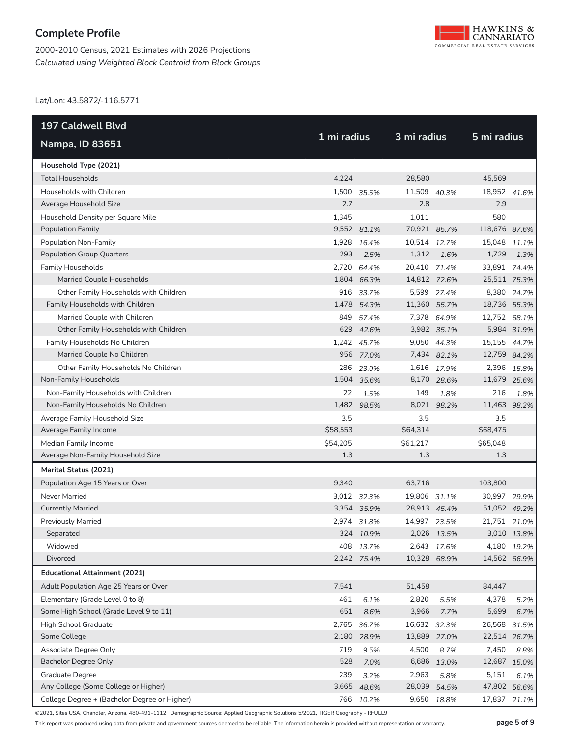2000-2010 Census, 2021 Estimates with 2026 Projections *Calculated using Weighted Block Centroid from Block Groups*



Lat/Lon: 43.5872/-116.5771

| 197 Caldwell Blvd                            |             |             |              |             |               |             |
|----------------------------------------------|-------------|-------------|--------------|-------------|---------------|-------------|
| Nampa, ID 83651                              | 1 mi radius |             | 3 mi radius  |             | 5 mi radius   |             |
| Household Type (2021)                        |             |             |              |             |               |             |
| <b>Total Households</b>                      | 4,224       |             | 28,580       |             | 45,569        |             |
| Households with Children                     |             | 1,500 35.5% | 11,509 40.3% |             | 18,952 41.6%  |             |
| Average Household Size                       | 2.7         |             | 2.8          |             | 2.9           |             |
| Household Density per Square Mile            | 1,345       |             | 1,011        |             | 580           |             |
| <b>Population Family</b>                     |             | 9,552 81.1% | 70,921 85.7% |             | 118,676 87.6% |             |
| Population Non-Family                        | 1,928       | 16.4%       | 10,514 12.7% |             | 15,048 11.1%  |             |
| <b>Population Group Quarters</b>             | 293         | 2.5%        | 1,312        | 1.6%        | 1,729         | 1.3%        |
| <b>Family Households</b>                     |             | 2,720 64.4% | 20,410 71.4% |             | 33,891 74.4%  |             |
| Married Couple Households                    |             | 1,804 66.3% | 14,812 72.6% |             | 25,511 75.3%  |             |
| Other Family Households with Children        |             | 916 33.7%   |              | 5,599 27.4% |               | 8,380 24.7% |
| Family Households with Children              |             | 1,478 54.3% | 11,360 55.7% |             | 18,736 55.3%  |             |
| Married Couple with Children                 | 849         | 57.4%       |              | 7,378 64.9% | 12,752 68.1%  |             |
| Other Family Households with Children        |             | 629 42.6%   |              | 3,982 35.1% |               | 5,984 31.9% |
| Family Households No Children                |             | 1,242 45.7% |              | 9,050 44.3% | 15,155 44.7%  |             |
| Married Couple No Children                   |             | 956 77.0%   |              | 7,434 82.1% | 12,759 84.2%  |             |
| Other Family Households No Children          |             | 286 23.0%   |              | 1,616 17.9% |               | 2,396 15.8% |
| Non-Family Households                        |             | 1,504 35.6% |              | 8,170 28.6% | 11,679 25.6%  |             |
| Non-Family Households with Children          | 22          | 1.5%        | 149          | 1.8%        | 216           | 1.8%        |
| Non-Family Households No Children            |             | 1,482 98.5% | 8,021        | 98.2%       | 11,463 98.2%  |             |
| Average Family Household Size                | 3.5         |             | 3.5          |             | 3.5           |             |
| Average Family Income                        | \$58,553    |             | \$64,314     |             | \$68,475      |             |
| Median Family Income                         | \$54,205    |             | \$61,217     |             | \$65,048      |             |
| Average Non-Family Household Size            | 1.3         |             | 1.3          |             | 1.3           |             |
| Marital Status (2021)                        |             |             |              |             |               |             |
| Population Age 15 Years or Over              | 9,340       |             | 63,716       |             | 103,800       |             |
| <b>Never Married</b>                         |             | 3,012 32.3% | 19,806 31.1% |             | 30,997 29.9%  |             |
| <b>Currently Married</b>                     |             | 3,354 35.9% | 28,913 45.4% |             | 51,052 49.2%  |             |
| <b>Previously Married</b>                    |             | 2,974 31.8% | 14,997       | 23.5%       | 21,751 21.0%  |             |
| Separated                                    |             | 324 10.9%   |              | 2,026 13.5% |               | 3,010 13.8% |
| Widowed                                      |             | 408 13.7%   |              | 2,643 17.6% |               | 4,180 19.2% |
| Divorced                                     |             | 2,242 75.4% | 10,328 68.9% |             | 14,562 66.9%  |             |
| <b>Educational Attainment (2021)</b>         |             |             |              |             |               |             |
| Adult Population Age 25 Years or Over        | 7,541       |             | 51,458       |             | 84,447        |             |
| Elementary (Grade Level 0 to 8)              | 461         | 6.1%        | 2,820        | 5.5%        | 4,378         | 5.2%        |
| Some High School (Grade Level 9 to 11)       | 651         | 8.6%        | 3,966        | 7.7%        | 5,699         | 6.7%        |
| High School Graduate                         | 2,765       | 36.7%       | 16,632 32.3% |             | 26,568        | 31.5%       |
| Some College                                 | 2,180       | 28.9%       | 13,889 27.0% |             | 22,514 26.7%  |             |
| Associate Degree Only                        | 719         | 9.5%        | 4,500        | 8.7%        | 7,450         | 8.8%        |
| <b>Bachelor Degree Only</b>                  | 528         | 7.0%        | 6,686        | 13.0%       | 12,687 15.0%  |             |
| Graduate Degree                              | 239         | 3.2%        | 2,963        | 5.8%        | 5,151         | 6.1%        |
| Any College (Some College or Higher)         | 3,665       | 48.6%       | 28,039       | 54.5%       | 47,802 56.6%  |             |
| College Degree + (Bachelor Degree or Higher) |             | 766 10.2%   |              | 9,650 18.8% | 17,837 21.1%  |             |

©2021, Sites USA, Chandler, Arizona, 480-491-1112 Demographic Source: Applied Geographic Solutions 5/2021, TIGER Geography - RFULL9

This report was produced using data from private and government sources deemed to be reliable. The information herein is provided without representation or warranty. **page 5 of 9**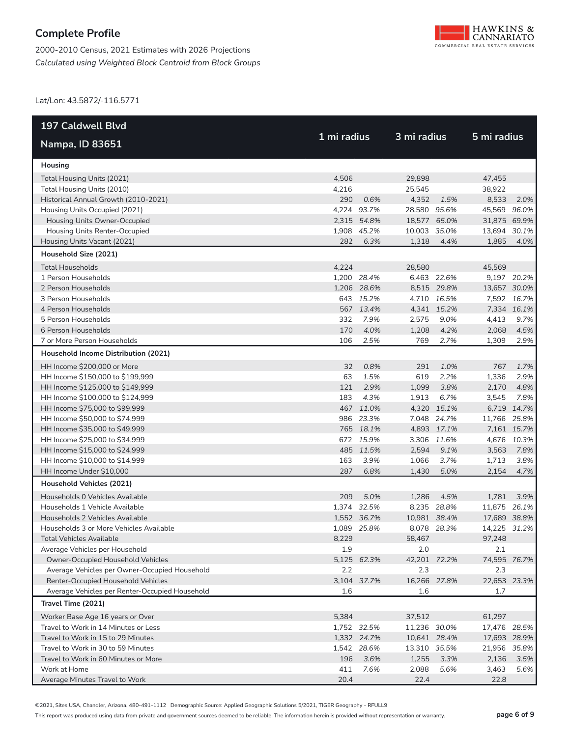



Lat/Lon: 43.5872/-116.5771

| 197 Caldwell Blvd                              |             |             |              |             |              |             |  |
|------------------------------------------------|-------------|-------------|--------------|-------------|--------------|-------------|--|
| <b>Nampa, ID 83651</b>                         | 1 mi radius |             | 3 mi radius  |             | 5 mi radius  |             |  |
| Housing                                        |             |             |              |             |              |             |  |
| Total Housing Units (2021)                     | 4.506       |             | 29.898       |             | 47,455       |             |  |
| Total Housing Units (2010)                     | 4,216       |             | 25,545       |             | 38,922       |             |  |
| Historical Annual Growth (2010-2021)           | 290         | 0.6%        | 4,352        | 1.5%        | 8,533        | 2.0%        |  |
| Housing Units Occupied (2021)                  |             | 4,224 93.7% | 28,580 95.6% |             | 45,569 96.0% |             |  |
| Housing Units Owner-Occupied                   |             | 2,315 54.8% | 18,577 65.0% |             | 31,875 69.9% |             |  |
| Housing Units Renter-Occupied                  |             | 1,908 45.2% | 10,003       | 35.0%       | 13,694       | 30.1%       |  |
| Housing Units Vacant (2021)                    | 282         | 6.3%        | 1,318        | 4.4%        | 1,885        | 4.0%        |  |
| Household Size (2021)                          |             |             |              |             |              |             |  |
| <b>Total Households</b>                        | 4,224       |             | 28,580       |             | 45,569       |             |  |
| 1 Person Households                            |             | 1,200 28.4% |              | 6,463 22.6% |              | 9,197 20.2% |  |
| 2 Person Households                            |             | 1,206 28.6% |              | 8,515 29.8% | 13,657 30.0% |             |  |
| 3 Person Households                            |             | 643 15.2%   |              | 4,710 16.5% |              | 7,592 16.7% |  |
| 4 Person Households                            |             | 567 13.4%   |              | 4,341 15.2% |              | 7,334 16.1% |  |
| 5 Person Households                            | 332         | 7.9%        | 2,575        | 9.0%        | 4,413        | 9.7%        |  |
| 6 Person Households                            | 170         | 4.0%        | 1,208        | 4.2%        | 2,068        | 4.5%        |  |
| 7 or More Person Households                    | 106         | 2.5%        | 769          | 2.7%        | 1,309        | 2.9%        |  |
| Household Income Distribution (2021)           |             |             |              |             |              |             |  |
| HH Income \$200,000 or More                    | 32          | 0.8%        | 291          | 1.0%        | 767          | 1.7%        |  |
| HH Income \$150,000 to \$199,999               | 63          | 1.5%        | 619          | 2.2%        | 1,336        | 2.9%        |  |
| HH Income \$125,000 to \$149,999               | 121         | 2.9%        | 1,099        | 3.8%        | 2,170        | 4.8%        |  |
| HH Income \$100,000 to \$124,999               | 183         | 4.3%        | 1,913        | 6.7%        | 3,545        | 7.8%        |  |
| HH Income \$75,000 to \$99,999                 |             | 467 11.0%   |              | 4,320 15.1% |              | 6,719 14.7% |  |
| HH Income \$50,000 to \$74,999                 |             | 986 23.3%   |              | 7,048 24.7% | 11,766 25.8% |             |  |
| HH Income \$35,000 to \$49,999                 |             | 765 18.1%   |              | 4,893 17.1% |              | 7,161 15.7% |  |
| HH Income \$25,000 to \$34,999                 |             | 672 15.9%   |              | 3,306 11.6% |              | 4,676 10.3% |  |
| HH Income \$15,000 to \$24,999                 |             | 485 11.5%   | 2,594        | 9.1%        | 3,563        | 7.8%        |  |
| HH Income \$10,000 to \$14,999                 | 163         | 3.9%        | 1,066        | 3.7%        | 1,713        | 3.8%        |  |
| HH Income Under \$10,000                       | 287         | 6.8%        | 1,430        | 5.0%        | 2,154        | 4.7%        |  |
| Household Vehicles (2021)                      |             |             |              |             |              |             |  |
| Households 0 Vehicles Available                | 209         | 5.0%        | 1,286        | 4.5%        | 1,781        | 3.9%        |  |
| Households 1 Vehicle Available                 |             | 1,374 32.5% |              | 8,235 28.8% | 11,875 26.1% |             |  |
| Households 2 Vehicles Available                |             | 1,552 36.7% | 10,981 38.4% |             | 17,689 38.8% |             |  |
| Households 3 or More Vehicles Available        |             | 1,089 25.8% |              | 8,078 28.3% | 14,225 31.2% |             |  |
| Total Vehicles Available                       | 8,229       |             | 58,467       |             | 97,248       |             |  |
| Average Vehicles per Household                 | 1.9         |             | 2.0          |             | 2.1          |             |  |
| Owner-Occupied Household Vehicles              |             | 5,125 62.3% | 42,201 72.2% |             | 74,595 76.7% |             |  |
| Average Vehicles per Owner-Occupied Household  | 2.2         |             | 2.3          |             | 2.3          |             |  |
| Renter-Occupied Household Vehicles             |             | 3,104 37.7% | 16,266 27.8% |             | 22,653 23.3% |             |  |
| Average Vehicles per Renter-Occupied Household | 1.6         |             | 1.6          |             | 1.7          |             |  |
| Travel Time (2021)                             |             |             |              |             |              |             |  |
| Worker Base Age 16 years or Over               | 5,384       |             | 37,512       |             | 61,297       |             |  |
| Travel to Work in 14 Minutes or Less           |             | 1,752 32.5% | 11,236 30.0% |             | 17,476 28.5% |             |  |
| Travel to Work in 15 to 29 Minutes             |             | 1,332 24.7% | 10,641 28.4% |             | 17,693 28.9% |             |  |
| Travel to Work in 30 to 59 Minutes             |             | 1,542 28.6% | 13,310 35.5% |             | 21,956 35.8% |             |  |
| Travel to Work in 60 Minutes or More           | 196         | 3.6%        | 1,255        | 3.3%        | 2,136        | 3.5%        |  |
| Work at Home                                   | 411         | 7.6%        | 2,088        | 5.6%        | 3,463        | 5.6%        |  |
| Average Minutes Travel to Work                 | 20.4        |             | 22.4         |             | 22.8         |             |  |

©2021, Sites USA, Chandler, Arizona, 480-491-1112 Demographic Source: Applied Geographic Solutions 5/2021, TIGER Geography - RFULL9

This report was produced using data from private and government sources deemed to be reliable. The information herein is provided without representation or warranty. **page 6 of 9**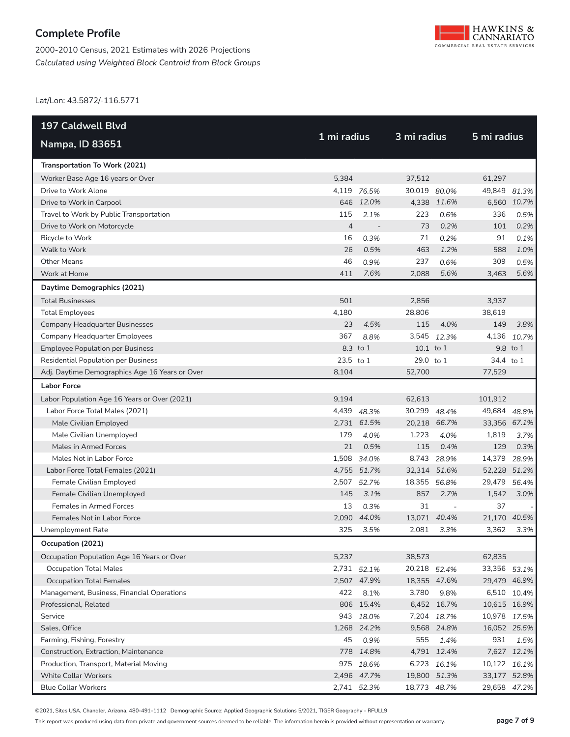



Lat/Lon: 43.5872/-116.5771

| <b>197 Caldwell Blvd</b>                       |                |                          |              |              |              |             |  |
|------------------------------------------------|----------------|--------------------------|--------------|--------------|--------------|-------------|--|
| <b>Nampa, ID 83651</b>                         | 1 mi radius    |                          | 3 mi radius  |              | 5 mi radius  |             |  |
| Transportation To Work (2021)                  |                |                          |              |              |              |             |  |
| Worker Base Age 16 years or Over               | 5,384          |                          | 37,512       |              | 61,297       |             |  |
| Drive to Work Alone                            |                | 4,119 76.5%              | 30,019 80.0% |              | 49,849       | 81.3%       |  |
| Drive to Work in Carpool                       |                | 646 12.0%                |              | 4,338 11.6%  |              | 6,560 10.7% |  |
| Travel to Work by Public Transportation        | 115            | 2.1%                     | 223          | 0.6%         | 336          | 0.5%        |  |
| Drive to Work on Motorcycle                    | $\overline{4}$ | $\overline{\phantom{a}}$ | 73           | 0.2%         | 101          | 0.2%        |  |
| Bicycle to Work                                | 16             | 0.3%                     | 71           | 0.2%         | 91           | 0.1%        |  |
| Walk to Work                                   | 26             | 0.5%                     | 463          | 1.2%         | 588          | 1.0%        |  |
| <b>Other Means</b>                             | 46             | 0.9%                     | 237          | 0.6%         | 309          | 0.5%        |  |
| Work at Home                                   | 411            | 7.6%                     | 2,088        | 5.6%         | 3,463        | 5.6%        |  |
| Daytime Demographics (2021)                    |                |                          |              |              |              |             |  |
| <b>Total Businesses</b>                        | 501            |                          | 2,856        |              | 3,937        |             |  |
| <b>Total Employees</b>                         | 4,180          |                          | 28,806       |              | 38,619       |             |  |
| <b>Company Headquarter Businesses</b>          | 23             | 4.5%                     | 115          | 4.0%         | 149          | 3.8%        |  |
| <b>Company Headquarter Employees</b>           | 367            | 8.8%                     |              | 3,545 12.3%  | 4,136        | 10.7%       |  |
| <b>Employee Population per Business</b>        |                | 8.3 to 1                 | 10.1 to 1    |              |              | 9.8 to 1    |  |
| <b>Residential Population per Business</b>     | 23.5 to 1      |                          | 29.0 to 1    |              | 34.4 to 1    |             |  |
| Adj. Daytime Demographics Age 16 Years or Over | 8,104          |                          | 52,700       |              | 77,529       |             |  |
| <b>Labor Force</b>                             |                |                          |              |              |              |             |  |
| Labor Population Age 16 Years or Over (2021)   | 9,194          |                          | 62,613       |              | 101,912      |             |  |
| Labor Force Total Males (2021)                 |                | 4,439 48.3%              | 30,299       | 48.4%        | 49,684       | 48.8%       |  |
| Male Civilian Employed                         |                | 2,731 61.5%              |              | 20,218 66.7% | 33,356 67.1% |             |  |
| Male Civilian Unemployed                       | 179            | 4.0%                     | 1,223        | 4.0%         | 1,819        | 3.7%        |  |
| Males in Armed Forces                          | 21             | 0.5%                     | 115          | 0.4%         | 129          | 0.3%        |  |
| Males Not in Labor Force                       |                | 1,508 34.0%              | 8,743        | 28.9%        | 14,379       | 28.9%       |  |
| Labor Force Total Females (2021)               |                | 4,755 51.7%              |              | 32,314 51.6% | 52,228 51.2% |             |  |
| Female Civilian Employed                       | 2,507          | 52.7%                    | 18,355       | 56.8%        | 29,479 56.4% |             |  |
| Female Civilian Unemployed                     | 145            | 3.1%                     | 857          | 2.7%         | 1.542        | 3.0%        |  |
| <b>Females in Armed Forces</b>                 | 13             | 0.3%                     | 31           | $\sim$       | 37           |             |  |
| Females Not in Labor Force                     | 2,090          | 44.0%                    | 13,071       | 40.4%        | 21,170       | 40.5%       |  |
| Unemployment Rate                              | 325            | 3.5%                     | 2,081        | 3.3%         | 3,362        | 3.3%        |  |
| Occupation (2021)                              |                |                          |              |              |              |             |  |
| Occupation Population Age 16 Years or Over     | 5,237          |                          | 38,573       |              | 62,835       |             |  |
| <b>Occupation Total Males</b>                  |                | 2,731 52.1%              | 20,218 52.4% |              | 33,356 53.1% |             |  |
| <b>Occupation Total Females</b>                |                | 2,507 47.9%              |              | 18,355 47.6% | 29,479 46.9% |             |  |
| Management, Business, Financial Operations     | 422            | 8.1%                     | 3,780        | 9.8%         |              | 6,510 10.4% |  |
| Professional, Related                          |                | 806 15.4%                |              | 6,452 16.7%  | 10,615 16.9% |             |  |
| Service                                        |                | 943 18.0%                |              | 7,204 18.7%  | 10,978 17.5% |             |  |
| Sales, Office                                  |                | 1,268 24.2%              |              | 9,568 24.8%  | 16,052 25.5% |             |  |
| Farming, Fishing, Forestry                     | 45             | 0.9%                     | 555          | 1.4%         | 931          | 1.5%        |  |
| Construction, Extraction, Maintenance          |                | 778 14.8%                |              | 4,791 12.4%  |              | 7,627 12.1% |  |
| Production, Transport, Material Moving         |                | 975 18.6%                |              | 6,223 16.1%  | 10,122 16.1% |             |  |
| <b>White Collar Workers</b>                    |                | 2,496 47.7%              |              | 19,800 51.3% | 33,177 52.8% |             |  |
| <b>Blue Collar Workers</b>                     |                | 2,741 52.3%              | 18,773 48.7% |              | 29,658 47.2% |             |  |

©2021, Sites USA, Chandler, Arizona, 480-491-1112 Demographic Source: Applied Geographic Solutions 5/2021, TIGER Geography - RFULL9

This report was produced using data from private and government sources deemed to be reliable. The information herein is provided without representation or warranty. **page 7 of 9**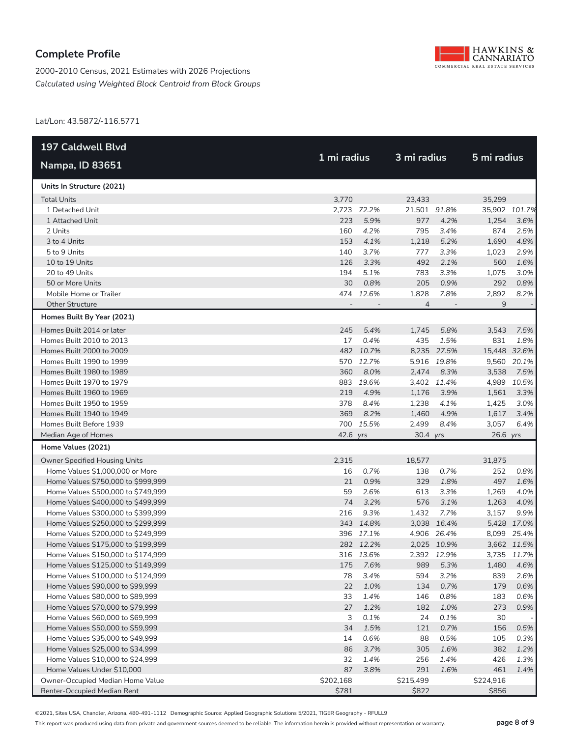

2000-2010 Census, 2021 Estimates with 2026 Projections *Calculated using Weighted Block Centroid from Block Groups*

Lat/Lon: 43.5872/-116.5771

| 197 Caldwell Blvd                  |             |             |                |             |               |             |
|------------------------------------|-------------|-------------|----------------|-------------|---------------|-------------|
| <b>Nampa, ID 83651</b>             | 1 mi radius |             | 3 mi radius    |             | 5 mi radius   |             |
| Units In Structure (2021)          |             |             |                |             |               |             |
| <b>Total Units</b>                 | 3,770       |             | 23,433         |             | 35,299        |             |
| 1 Detached Unit                    |             | 2.723 72.2% | 21,501 91.8%   |             | 35,902 101.7% |             |
| 1 Attached Unit                    | 223         | 5.9%        | 977            | 4.2%        | 1,254         | 3.6%        |
| 2 Units                            | 160         | 4.2%        | 795            | 3.4%        | 874           | 2.5%        |
| 3 to 4 Units                       | 153         | 4.1%        | 1,218          | 5.2%        | 1,690         | 4.8%        |
| 5 to 9 Units                       | 140         | 3.7%        | 777            | 3.3%        | 1,023         | 2.9%        |
| 10 to 19 Units                     | 126         | 3.3%        | 492            | 2.1%        | 560           | 1.6%        |
| 20 to 49 Units                     | 194         | 5.1%        | 783            | 3.3%        | 1,075         | 3.0%        |
| 50 or More Units                   | 30          | 0.8%        | 205            | 0.9%        | 292           | 0.8%        |
| Mobile Home or Trailer             |             | 474 12.6%   | 1,828          | 7.8%        | 2,892         | 8.2%        |
| <b>Other Structure</b>             |             |             | $\overline{4}$ |             | 9             |             |
| Homes Built By Year (2021)         |             |             |                |             |               |             |
| Homes Built 2014 or later          | 245         | 5.4%        | 1,745          | 5.8%        | 3,543         | 7.5%        |
| Homes Built 2010 to 2013           | 17          | 0.4%        | 435            | 1.5%        | 831           | 1.8%        |
| Homes Built 2000 to 2009           |             | 482 10.7%   |                | 8,235 27.5% | 15,448 32.6%  |             |
| Homes Built 1990 to 1999           |             | 570 12.7%   |                | 5,916 19.8% |               | 9,560 20.1% |
| Homes Built 1980 to 1989           | 360         | 8.0%        | 2,474          | 8.3%        | 3,538         | 7.5%        |
| Homes Built 1970 to 1979           |             | 883 19.6%   |                | 3,402 11.4% | 4,989         | 10.5%       |
| Homes Built 1960 to 1969           | 219         | 4.9%        | 1,176          | 3.9%        | 1,561         | 3.3%        |
| Homes Built 1950 to 1959           | 378         | 8.4%        | 1,238          | 4.1%        | 1,425         | 3.0%        |
| Homes Built 1940 to 1949           | 369         | 8.2%        | 1,460          | 4.9%        | 1,617         | 3.4%        |
| Homes Built Before 1939            | 700         | 15.5%       | 2,499          | 8.4%        | 3,057         | 6.4%        |
| Median Age of Homes                | 42.6 yrs    |             | 30.4 yrs       |             | 26.6 yrs      |             |
| Home Values (2021)                 |             |             |                |             |               |             |
| Owner Specified Housing Units      | 2,315       |             | 18,577         |             | 31,875        |             |
| Home Values \$1,000,000 or More    | 16          | 0.7%        | 138            | 0.7%        | 252           | 0.8%        |
| Home Values \$750,000 to \$999,999 | 21          | 0.9%        | 329            | 1.8%        | 497           | 1.6%        |
| Home Values \$500,000 to \$749,999 | 59          | 2.6%        | 613            | 3.3%        | 1,269         | 4.0%        |
| Home Values \$400,000 to \$499,999 | 74          | 3.2%        | 576            | 3.1%        | 1,263         | 4.0%        |
| Home Values \$300,000 to \$399,999 | 216         | 9.3%        | 1,432          | 7.7%        | 3,157         | 9.9%        |
| Home Values \$250,000 to \$299,999 |             | 343 14.8%   |                | 3,038 16.4% |               | 5,428 17.0% |
| Home Values \$200,000 to \$249,999 |             | 396 17.1%   |                | 4,906 26.4% |               | 8,099 25.4% |
| Home Values \$175,000 to \$199,999 |             | 282 12.2%   |                | 2,025 10.9% |               | 3,662 11.5% |
| Home Values \$150,000 to \$174,999 |             | 316 13.6%   |                | 2.392 12.9% |               | 3,735 11.7% |
| Home Values \$125,000 to \$149,999 | 175         | 7.6%        | 989            | 5.3%        | 1,480         | 4.6%        |
| Home Values \$100,000 to \$124,999 | 78          | 3.4%        | 594            | 3.2%        | 839           | 2.6%        |
| Home Values \$90,000 to \$99,999   | 22          | 1.0%        | 134            | 0.7%        | 179           | 0.6%        |
| Home Values \$80,000 to \$89,999   | 33          | 1.4%        | 146            | 0.8%        | 183           | 0.6%        |
| Home Values \$70,000 to \$79,999   | 27          | 1.2%        | 182            | 1.0%        | 273           | 0.9%        |
| Home Values \$60,000 to \$69,999   | 3           | 0.1%        | 24             | 0.1%        | 30            |             |
| Home Values \$50,000 to \$59,999   | 34          | 1.5%        | 121            | 0.7%        | 156           | 0.5%        |
| Home Values \$35,000 to \$49,999   | 14          | 0.6%        | 88             | 0.5%        | 105           | 0.3%        |
| Home Values \$25,000 to \$34,999   | 86          | 3.7%        | 305            | 1.6%        | 382           | 1.2%        |
| Home Values \$10,000 to \$24,999   | 32          | 1.4%        | 256            | 1.4%        | 426           | 1.3%        |
| Home Values Under \$10,000         | 87          | 3.8%        | 291            | 1.6%        | 461           | 1.4%        |
| Owner-Occupied Median Home Value   | \$202,168   |             | \$215,499      |             | \$224,916     |             |
| Renter-Occupied Median Rent        | \$781       |             | \$822          |             | \$856         |             |

©2021, Sites USA, Chandler, Arizona, 480-491-1112 Demographic Source: Applied Geographic Solutions 5/2021, TIGER Geography - RFULL9